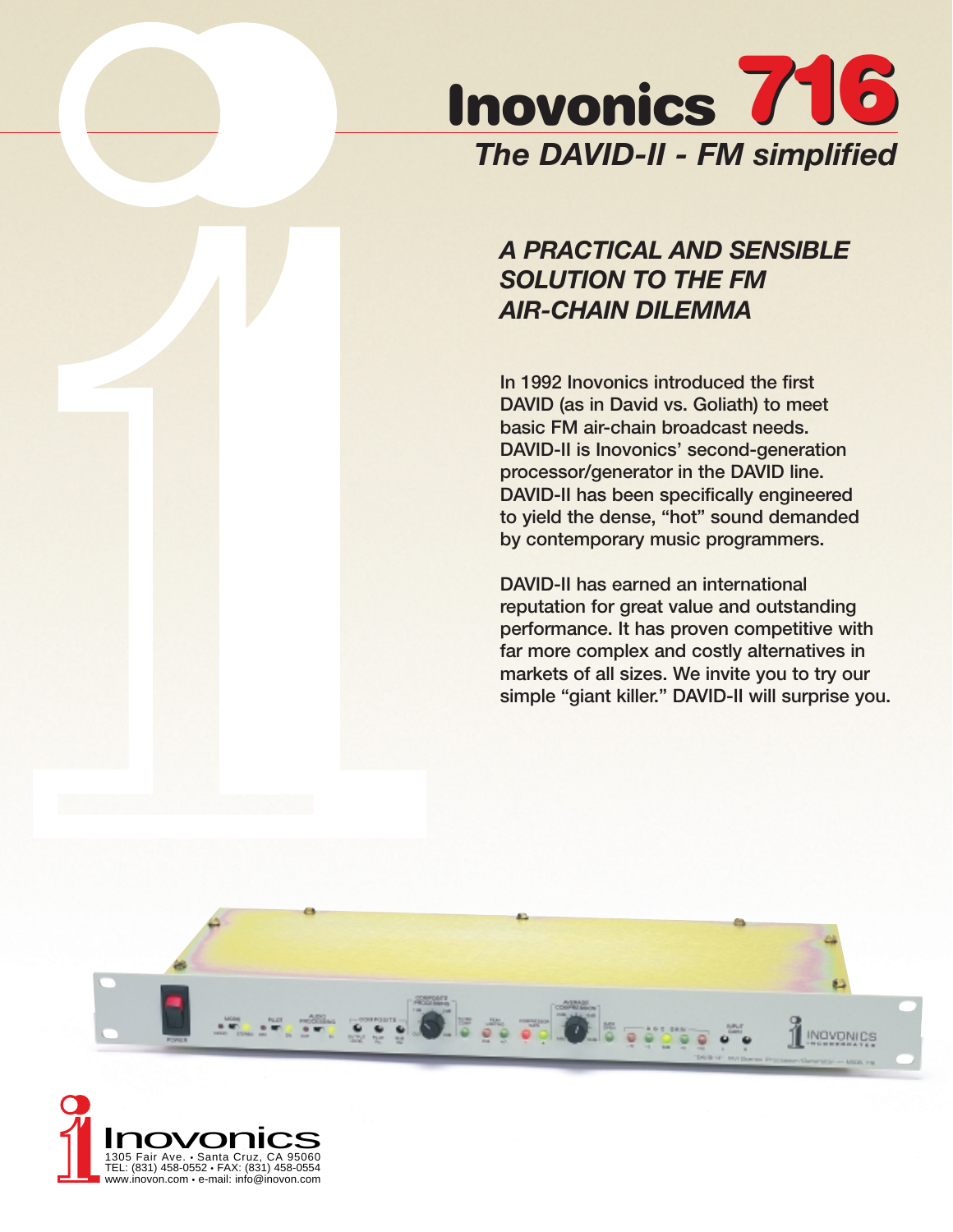

# *A PRACTICAL AND SENSIBLE SOLUTION TO THE FM AIR-CHAIN DILEMMA*

**In 1992 Inovonics introduced the first DAVID (as in David vs. Goliath) to meet basic FM air-chain broadcast needs. DAVID-II is Inovonics' second-generation processor/generator in the DAVID line. DAVID-II has been specifically engineered to yield the dense, "hot" sound demanded by contemporary music programmers.** 

**DAVID-II has earned an international reputation for great value and outstanding performance. It has proven competitive with far more complex and costly alternatives in markets of all sizes. We invite you to try our simple "giant killer." DAVID-II will surprise you.**